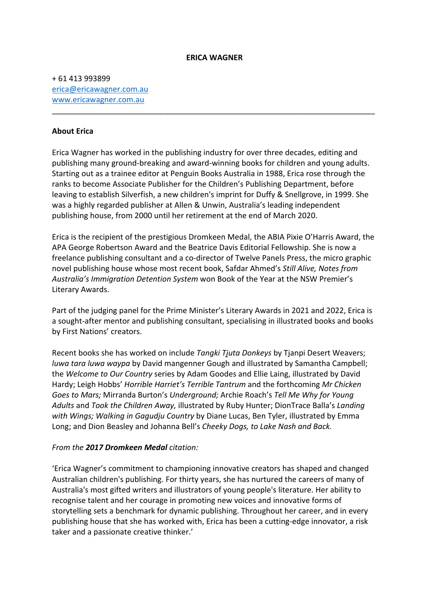#### **ERICA WAGNER**

\_\_\_\_\_\_\_\_\_\_\_\_\_\_\_\_\_\_\_\_\_\_\_\_\_\_\_\_\_\_\_\_\_\_\_\_\_\_\_\_\_\_\_\_\_\_\_\_\_\_\_\_\_\_\_\_\_\_\_\_\_\_\_\_\_\_\_\_\_\_\_\_\_\_\_

+ 61 413 993899 erica@ericawagner.com.au www.ericawagner.com.au

#### **About Erica**

Erica Wagner has worked in the publishing industry for over three decades, editing and publishing many ground-breaking and award-winning books for children and young adults. Starting out as a trainee editor at Penguin Books Australia in 1988, Erica rose through the ranks to become Associate Publisher for the Children's Publishing Department, before leaving to establish Silverfish, a new children's imprint for Duffy & Snellgrove, in 1999. She was a highly regarded publisher at Allen & Unwin, Australia's leading independent publishing house, from 2000 until her retirement at the end of March 2020.

Erica is the recipient of the prestigious Dromkeen Medal, the ABIA Pixie O'Harris Award, the APA George Robertson Award and the Beatrice Davis Editorial Fellowship. She is now a freelance publishing consultant and a co-director of Twelve Panels Press, the micro graphic novel publishing house whose most recent book, Safdar Ahmed's *Still Alive, Notes from Australia's Immigration Detention System* won Book of the Year at the NSW Premier's Literary Awards.

Part of the judging panel for the Prime Minister's Literary Awards in 2021 and 2022, Erica is a sought-after mentor and publishing consultant, specialising in illustrated books and books by First Nations' creators.

Recent books she has worked on include *Tangki Tjuta Donkeys* by Tjanpi Desert Weavers; *luwa tara luwa waypa* by David mangenner Gough and illustrated by Samantha Campbell; the *Welcome to Our Country* series by Adam Goodes and Ellie Laing, illustrated by David Hardy; Leigh Hobbs' *Horrible Harriet's Terrible Tantrum* and the forthcoming *Mr Chicken Goes to Mars;* Mirranda Burton's *Underground;* Archie Roach's *Tell Me Why for Young Adults* and *Took the Children Away,* illustrated by Ruby Hunter; DionTrace Balla's *Landing with Wings; Walking in Gagudju Country* by Diane Lucas, Ben Tyler, illustrated by Emma Long; and Dion Beasley and Johanna Bell's *Cheeky Dogs, to Lake Nash and Back.*

#### *From the 2017 Dromkeen Medal citation:*

'Erica Wagner's commitment to championing innovative creators has shaped and changed Australian children's publishing. For thirty years, she has nurtured the careers of many of Australia's most gifted writers and illustrators of young people's literature. Her ability to recognise talent and her courage in promoting new voices and innovative forms of storytelling sets a benchmark for dynamic publishing. Throughout her career, and in every publishing house that she has worked with, Erica has been a cutting-edge innovator, a risk taker and a passionate creative thinker.'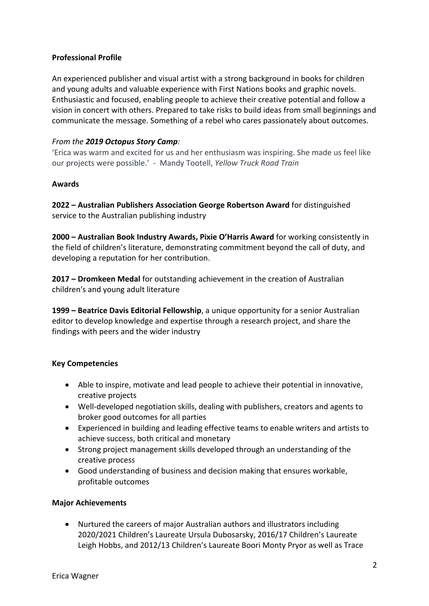# **Professional Profile**

An experienced publisher and visual artist with a strong background in books for children and young adults and valuable experience with First Nations books and graphic novels. Enthusiastic and focused, enabling people to achieve their creative potential and follow a vision in concert with others. Prepared to take risks to build ideas from small beginnings and communicate the message. Something of a rebel who cares passionately about outcomes.

## *From the 2019 Octopus Story Camp:*

'Erica was warm and excited for us and her enthusiasm was inspiring. She made us feel like our projects were possible.' - Mandy Tootell, *Yellow Truck Road Train*

## **Awards**

**2022 – Australian Publishers Association George Robertson Award** for distinguished service to the Australian publishing industry

**2000 – Australian Book Industry Awards, Pixie O'Harris Award** for working consistently in the field of children's literature, demonstrating commitment beyond the call of duty, and developing a reputation for her contribution.

**2017 – Dromkeen Medal** for outstanding achievement in the creation of Australian children's and young adult literature

**1999 – Beatrice Davis Editorial Fellowship**, a unique opportunity for a senior Australian editor to develop knowledge and expertise through a research project, and share the findings with peers and the wider industry

## **Key Competencies**

- Able to inspire, motivate and lead people to achieve their potential in innovative, creative projects
- Well-developed negotiation skills, dealing with publishers, creators and agents to broker good outcomes for all parties
- Experienced in building and leading effective teams to enable writers and artists to achieve success, both critical and monetary
- Strong project management skills developed through an understanding of the creative process
- Good understanding of business and decision making that ensures workable, profitable outcomes

## **Major Achievements**

• Nurtured the careers of major Australian authors and illustrators including 2020/2021 Children's Laureate Ursula Dubosarsky, 2016/17 Children's Laureate Leigh Hobbs, and 2012/13 Children's Laureate Boori Monty Pryor as well as Trace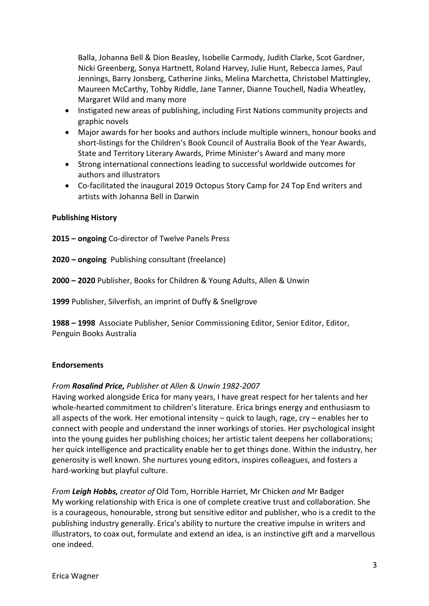Balla, Johanna Bell & Dion Beasley, Isobelle Carmody, Judith Clarke, Scot Gardner, Nicki Greenberg, Sonya Hartnett, Roland Harvey, Julie Hunt, Rebecca James, Paul Jennings, Barry Jonsberg, Catherine Jinks, Melina Marchetta, Christobel Mattingley, Maureen McCarthy, Tohby Riddle, Jane Tanner, Dianne Touchell, Nadia Wheatley, Margaret Wild and many more

- Instigated new areas of publishing, including First Nations community projects and graphic novels
- Major awards for her books and authors include multiple winners, honour books and short-listings for the Children's Book Council of Australia Book of the Year Awards, State and Territory Literary Awards, Prime Minister's Award and many more
- Strong international connections leading to successful worldwide outcomes for authors and illustrators
- Co-facilitated the inaugural 2019 Octopus Story Camp for 24 Top End writers and artists with Johanna Bell in Darwin

## **Publishing History**

**2015 – ongoing** Co-director of Twelve Panels Press

- **2020 – ongoing** Publishing consultant (freelance)
- **2000 – 2020** Publisher, Books for Children & Young Adults, Allen & Unwin

**1999** Publisher, Silverfish, an imprint of Duffy & Snellgrove

**1988 – 1998** Associate Publisher, Senior Commissioning Editor, Senior Editor, Editor, Penguin Books Australia

#### **Endorsements**

#### *From Rosalind Price, Publisher at Allen & Unwin 1982-2007*

Having worked alongside Erica for many years, I have great respect for her talents and her whole-hearted commitment to children's literature. Erica brings energy and enthusiasm to all aspects of the work. Her emotional intensity – quick to laugh, rage, cry – enables her to connect with people and understand the inner workings of stories. Her psychological insight into the young guides her publishing choices; her artistic talent deepens her collaborations; her quick intelligence and practicality enable her to get things done. Within the industry, her generosity is well known. She nurtures young editors, inspires colleagues, and fosters a hard-working but playful culture.

*From Leigh Hobbs, creator of* Old Tom, Horrible Harriet, Mr Chicken *and* Mr Badger My working relationship with Erica is one of complete creative trust and collaboration. She is a courageous, honourable, strong but sensitive editor and publisher, who is a credit to the publishing industry generally. Erica's ability to nurture the creative impulse in writers and illustrators, to coax out, formulate and extend an idea, is an instinctive gift and a marvellous one indeed.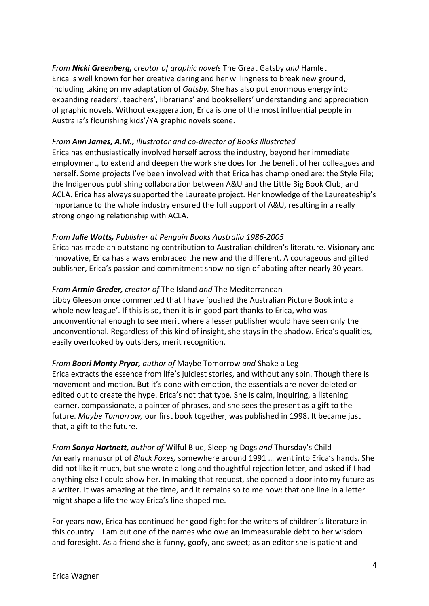*From Nicki Greenberg, creator of graphic novels* The Great Gatsby *and* Hamlet Erica is well known for her creative daring and her willingness to break new ground, including taking on my adaptation of *Gatsby.* She has also put enormous energy into expanding readers', teachers', librarians' and booksellers' understanding and appreciation of graphic novels. Without exaggeration, Erica is one of the most influential people in Australia's flourishing kids'/YA graphic novels scene.

## *From Ann James, A.M., illustrator and co-director of Books Illustrated*

Erica has enthusiastically involved herself across the industry, beyond her immediate employment, to extend and deepen the work she does for the benefit of her colleagues and herself. Some projects I've been involved with that Erica has championed are: the Style File; the Indigenous publishing collaboration between A&U and the Little Big Book Club; and ACLA. Erica has always supported the Laureate project. Her knowledge of the Laureateship's importance to the whole industry ensured the full support of A&U, resulting in a really strong ongoing relationship with ACLA.

# *From Julie Watts, Publisher at Penguin Books Australia 1986-2005*

Erica has made an outstanding contribution to Australian children's literature. Visionary and innovative, Erica has always embraced the new and the different. A courageous and gifted publisher, Erica's passion and commitment show no sign of abating after nearly 30 years.

# *From Armin Greder, creator of* The Island *and* The Mediterranean

Libby Gleeson once commented that I have 'pushed the Australian Picture Book into a whole new league'. If this is so, then it is in good part thanks to Erica, who was unconventional enough to see merit where a lesser publisher would have seen only the unconventional. Regardless of this kind of insight, she stays in the shadow. Erica's qualities, easily overlooked by outsiders, merit recognition.

*From Boori Monty Pryor, author of* Maybe Tomorrow *and* Shake a Leg Erica extracts the essence from life's juiciest stories, and without any spin. Though there is movement and motion. But it's done with emotion, the essentials are never deleted or edited out to create the hype. Erica's not that type. She is calm, inquiring, a listening learner, compassionate, a painter of phrases, and she sees the present as a gift to the future. *Maybe Tomorrow,* our first book together, was published in 1998. It became just that, a gift to the future.

*From Sonya Hartnett, author of* Wilful Blue, Sleeping Dogs *and* Thursday's Child An early manuscript of *Black Foxes,* somewhere around 1991 … went into Erica's hands. She did not like it much, but she wrote a long and thoughtful rejection letter, and asked if I had anything else I could show her. In making that request, she opened a door into my future as a writer. It was amazing at the time, and it remains so to me now: that one line in a letter might shape a life the way Erica's line shaped me.

For years now, Erica has continued her good fight for the writers of children's literature in this country – I am but one of the names who owe an immeasurable debt to her wisdom and foresight. As a friend she is funny, goofy, and sweet; as an editor she is patient and